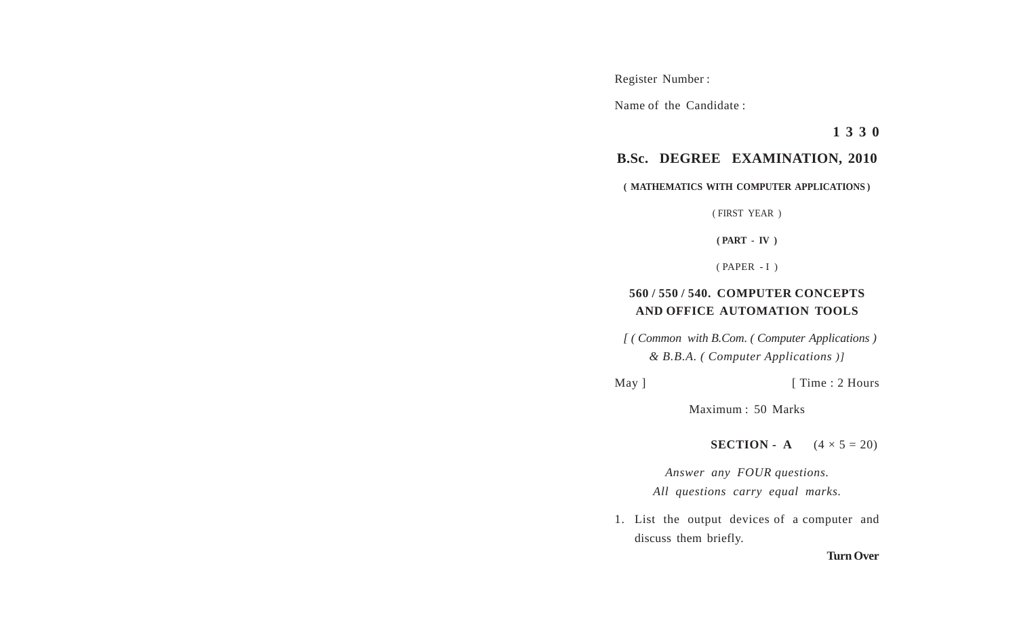Register Number :

Name of the Candidate :

**1 3 3 0**

## **B.Sc. DEGREE EXAMINATION, 2010**

## **( MATHEMATICS WITH COMPUTER APPLICATIONS )**

( FIRST YEAR )

**( PART - IV )**

( PAPER - I )

## **560 / 550 / 540. COMPUTER CONCEPTS AND OFFICE AUTOMATION TOOLS**

 *[ ( Common with B.Com. ( Computer Applications ) & B.B.A. ( Computer Applications )]*

May ] [ Time : 2 Hours

Maximum : 50 Marks

**SECTION** - A  $(4 \times 5 = 20)$ 

*Answer any FOUR questions. All questions carry equal marks.*

1. List the output devices of a computer and discuss them briefly.

## **Turn Over**